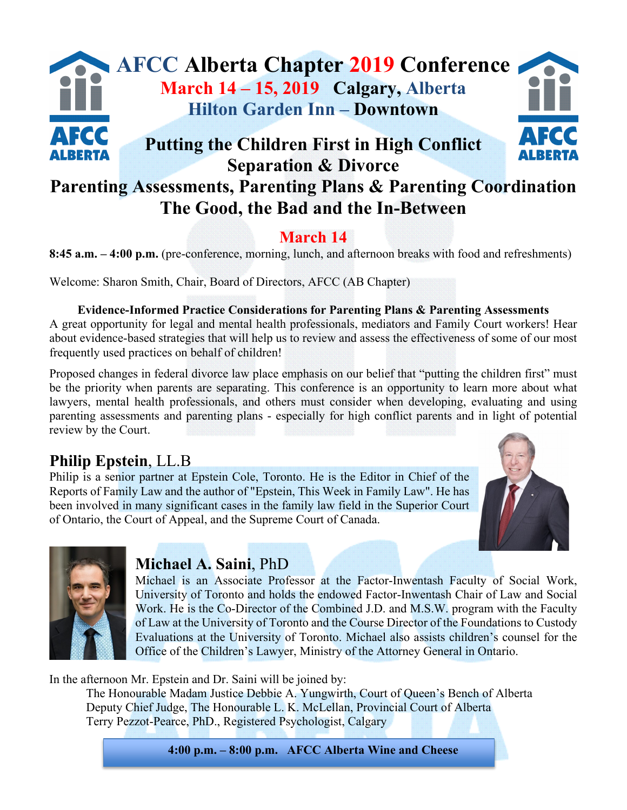# **AFCC Alberta Chapter 2019 Conference March 14 – 15, 2019 Calgary, Alberta Hilton Garden Inn – Downtown** AFCC **Putting the Children First in High Conflict Separation & Divorce**

# **Parenting Assessments, Parenting Plans & Parenting Coordination The Good, the Bad and the In-Between**

## **March 14**

**8:45 a.m. – 4:00 p.m.** (pre-conference, morning, lunch, and afternoon breaks with food and refreshments)

Welcome: Sharon Smith, Chair, Board of Directors, AFCC (AB Chapter)

#### **Evidence-Informed Practice Considerations for Parenting Plans & Parenting Assessments**

A great opportunity for legal and mental health professionals, mediators and Family Court workers! Hear about evidence-based strategies that will help us to review and assess the effectiveness of some of our most frequently used practices on behalf of children!

Proposed changes in federal divorce law place emphasis on our belief that "putting the children first" must be the priority when parents are separating. This conference is an opportunity to learn more about what lawyers, mental health professionals, and others must consider when developing, evaluating and using parenting assessments and parenting plans - especially for high conflict parents and in light of potential review by the Court.

## **Philip Epstein**, LL.B

Philip is a senior partner at Epstein Cole, Toronto. He is the Editor in Chief of the Reports of Family Law and the author of "Epstein, This Week in Family Law". He has been involved in many significant cases in the family law field in the Superior Court of Ontario, the Court of Appeal, and the Supreme Court of Canada.





## **Michael A. Saini**, PhD

Michael is an Associate Professor at the Factor-Inwentash Faculty of Social Work, University of Toronto and holds the endowed Factor-Inwentash Chair of Law and Social Work. He is the Co-Director of the Combined J.D. and M.S.W. program with the Faculty of Law at the University of Toronto and the Course Director of the Foundations to Custody Evaluations at the University of Toronto. Michael also assists children's counsel for the Office of the Children's Lawyer, Ministry of the Attorney General in Ontario.

In the afternoon Mr. Epstein and Dr. Saini will be joined by:

The Honourable Madam Justice Debbie A. Yungwirth, Court of Queen's Bench of Alberta Deputy Chief Judge, The Honourable L. K. McLellan, Provincial Court of Alberta Terry Pezzot-Pearce, PhD., Registered Psychologist, Calgary

**4:00 p.m. – 8:00 p.m. AFCC Alberta Wine and Cheese**